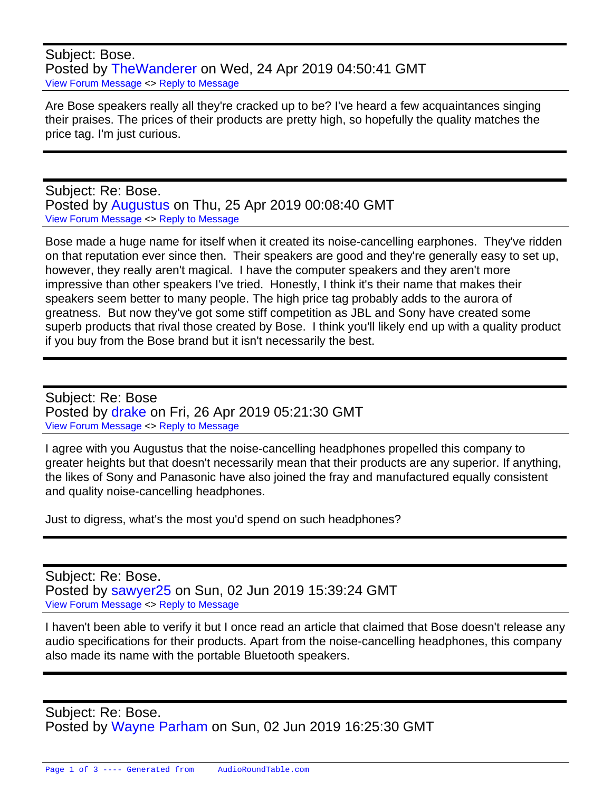Subject: Bose. Posted by [TheWanderer](https://audioroundtable.com/forum/index.php?t=usrinfo&id=8551) on Wed, 24 Apr 2019 04:50:41 GMT [View Forum Message](https://audioroundtable.com/forum/index.php?t=rview&th=22452&goto=90144#msg_90144) <> [Reply to Message](https://audioroundtable.com/forum/index.php?t=post&reply_to=90144)

Are Bose speakers really all they're cracked up to be? I've heard a few acquaintances singing their praises. The prices of their products are pretty high, so hopefully the quality matches the price tag. I'm just curious.

Subject: Re: Bose. Posted by [Augustus](https://audioroundtable.com/forum/index.php?t=usrinfo&id=8581) on Thu, 25 Apr 2019 00:08:40 GMT [View Forum Message](https://audioroundtable.com/forum/index.php?t=rview&th=22452&goto=90151#msg_90151) <> [Reply to Message](https://audioroundtable.com/forum/index.php?t=post&reply_to=90151)

Bose made a huge name for itself when it created its noise-cancelling earphones. They've ridden on that reputation ever since then. Their speakers are good and they're generally easy to set up, however, they really aren't magical. I have the computer speakers and they aren't more impressive than other speakers I've tried. Honestly, I think it's their name that makes their speakers seem better to many people. The high price tag probably adds to the aurora of greatness. But now they've got some stiff competition as JBL and Sony have created some superb products that rival those created by Bose. I think you'll likely end up with a quality product if you buy from the Bose brand but it isn't necessarily the best.

Subject: Re: Bose Posted by [drake](https://audioroundtable.com/forum/index.php?t=usrinfo&id=7487) on Fri, 26 Apr 2019 05:21:30 GMT [View Forum Message](https://audioroundtable.com/forum/index.php?t=rview&th=22452&goto=90159#msg_90159) <> [Reply to Message](https://audioroundtable.com/forum/index.php?t=post&reply_to=90159)

I agree with you Augustus that the noise-cancelling headphones propelled this company to greater heights but that doesn't necessarily mean that their products are any superior. If anything, the likes of Sony and Panasonic have also joined the fray and manufactured equally consistent and quality noise-cancelling headphones.

Just to digress, what's the most you'd spend on such headphones?

Subject: Re: Bose. Posted by [sawyer25](https://audioroundtable.com/forum/index.php?t=usrinfo&id=7544) on Sun, 02 Jun 2019 15:39:24 GMT [View Forum Message](https://audioroundtable.com/forum/index.php?t=rview&th=22452&goto=90391#msg_90391) <> [Reply to Message](https://audioroundtable.com/forum/index.php?t=post&reply_to=90391)

I haven't been able to verify it but I once read an article that claimed that Bose doesn't release any audio specifications for their products. Apart from the noise-cancelling headphones, this company also made its name with the portable Bluetooth speakers.

Subject: Re: Bose. Posted by [Wayne Parham](https://audioroundtable.com/forum/index.php?t=usrinfo&id=5) on Sun, 02 Jun 2019 16:25:30 GMT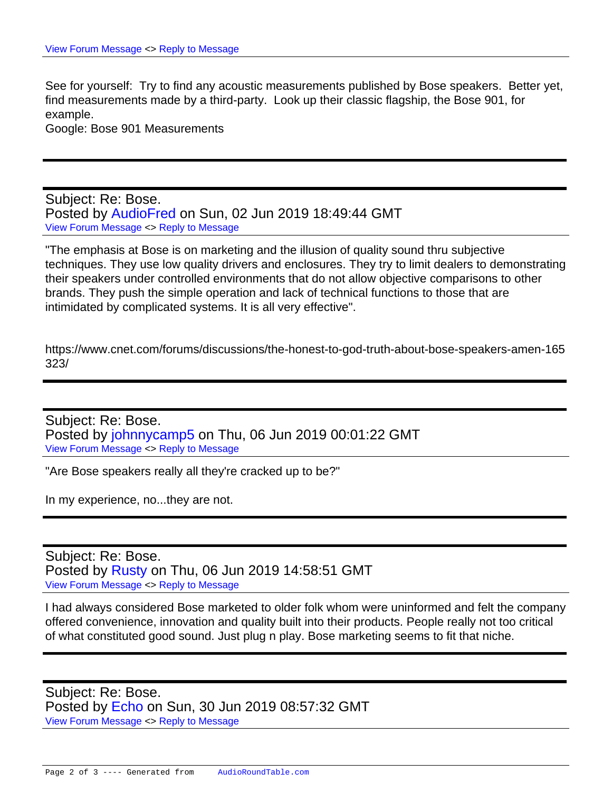See for yourself: Try to find any acoustic measurements published by Bose speakers. Better yet, find measurements made by a third-party. Look up their classic flagship, the Bose 901, for example.

Google: Bose 901 Measurements

Subject: Re: Bose. Posted by [AudioFred](https://audioroundtable.com/forum/index.php?t=usrinfo&id=3429) on Sun, 02 Jun 2019 18:49:44 GMT [View Forum Message](https://audioroundtable.com/forum/index.php?t=rview&th=22452&goto=90394#msg_90394) <> [Reply to Message](https://audioroundtable.com/forum/index.php?t=post&reply_to=90394)

"The emphasis at Bose is on marketing and the illusion of quality sound thru subjective techniques. They use low quality drivers and enclosures. They try to limit dealers to demonstrating their speakers under controlled environments that do not allow objective comparisons to other brands. They push the simple operation and lack of technical functions to those that are intimidated by complicated systems. It is all very effective".

https://www.cnet.com/forums/discussions/the-honest-to-god-truth-about-bose-speakers-amen-165 323/

Subject: Re: Bose. Posted by [johnnycamp5](https://audioroundtable.com/forum/index.php?t=usrinfo&id=7066) on Thu, 06 Jun 2019 00:01:22 GMT [View Forum Message](https://audioroundtable.com/forum/index.php?t=rview&th=22452&goto=90400#msg_90400) <> [Reply to Message](https://audioroundtable.com/forum/index.php?t=post&reply_to=90400)

"Are Bose speakers really all they're cracked up to be?"

In my experience, no...they are not.

Subject: Re: Bose. Posted by [Rusty](https://audioroundtable.com/forum/index.php?t=usrinfo&id=8363) on Thu, 06 Jun 2019 14:58:51 GMT [View Forum Message](https://audioroundtable.com/forum/index.php?t=rview&th=22452&goto=90405#msg_90405) <> [Reply to Message](https://audioroundtable.com/forum/index.php?t=post&reply_to=90405)

I had always considered Bose marketed to older folk whom were uninformed and felt the company offered convenience, innovation and quality built into their products. People really not too critical of what constituted good sound. Just plug n play. Bose marketing seems to fit that niche.

Subject: Re: Bose. Posted by [Echo](https://audioroundtable.com/forum/index.php?t=usrinfo&id=8606) on Sun, 30 Jun 2019 08:57:32 GMT [View Forum Message](https://audioroundtable.com/forum/index.php?t=rview&th=22452&goto=90568#msg_90568) <> [Reply to Message](https://audioroundtable.com/forum/index.php?t=post&reply_to=90568)